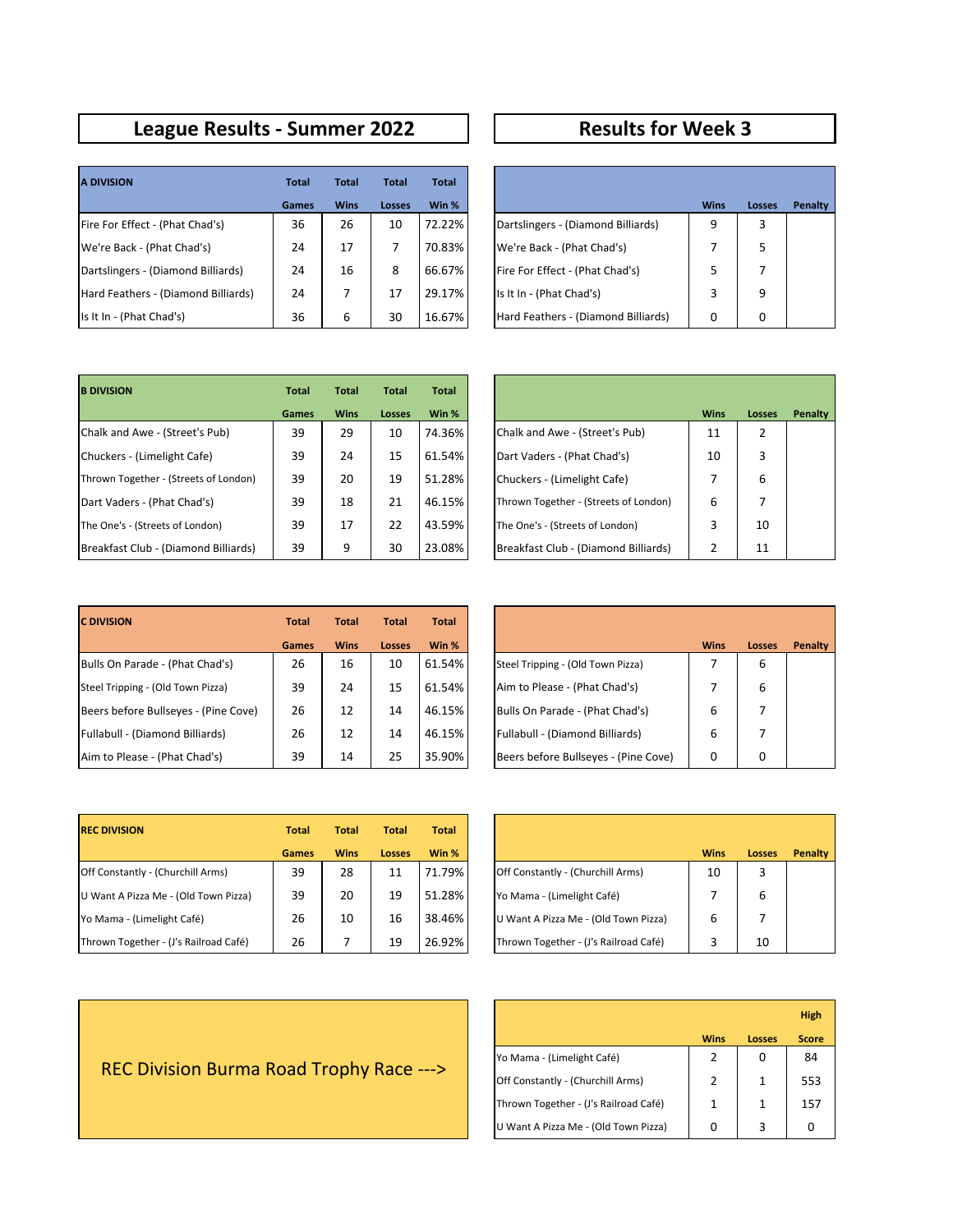## **League Results - Summer 2022 Results for Week 3**

| <b>A DIVISION</b>                   | <b>Total</b> | <b>Total</b> | <b>Total</b> | <b>Total</b> |                                     |             |      |
|-------------------------------------|--------------|--------------|--------------|--------------|-------------------------------------|-------------|------|
|                                     | Games        | <b>Wins</b>  | Losses       | Win %        |                                     | <b>Wins</b> | Loss |
| Fire For Effect - (Phat Chad's)     | 36           | 26           | 10           | 72.22%       | Dartslingers - (Diamond Billiards)  | 9           | 3    |
| We're Back - (Phat Chad's)          | 24           | 17           |              | 70.83%       | We're Back - (Phat Chad's)          |             | 5    |
| Dartslingers - (Diamond Billiards)  | 24           | 16           | 8            | 66.67%       | Fire For Effect - (Phat Chad's)     |             |      |
| Hard Feathers - (Diamond Billiards) | 24           |              | 17           | 29.17%       | Is It In - (Phat Chad's)            | 3           | 9    |
| Is It In - (Phat Chad's)            | 36           | 6            | 30           | 16.67%       | Hard Feathers - (Diamond Billiards) | 0           | 0    |

| <b>Total</b> | <b>Total</b> | <b>Total</b>  | <b>Total</b> |                                     |             |               |         |
|--------------|--------------|---------------|--------------|-------------------------------------|-------------|---------------|---------|
| Games        | <b>Wins</b>  | <b>Losses</b> | Win %        |                                     | <b>Wins</b> | <b>Losses</b> | Penalty |
| 36           | 26           | 10            | 72.22%       | Dartslingers - (Diamond Billiards)  | 9           | 3             |         |
| 24           | 17           |               | 70.83%       | We're Back - (Phat Chad's)          | 7           | 5             |         |
| 24           | 16           | 8             | 66.67%       | Fire For Effect - (Phat Chad's)     | 5           |               |         |
| 24           | 7            | 17            | 29.17%       | Is It In - (Phat Chad's)            | 3           | 9             |         |
| 36           | 6            | 30            | 16.67%       | Hard Feathers - (Diamond Billiards) | 0           | 0             |         |

| <b>B DIVISION</b>                     | <b>Total</b> | <b>Total</b> | <b>Total</b> | <b>Total</b> |                                            |
|---------------------------------------|--------------|--------------|--------------|--------------|--------------------------------------------|
|                                       | <b>Games</b> | <b>Wins</b>  | Losses       | Win %        | <b>Wins</b><br>Loss                        |
| Chalk and Awe - (Street's Pub)        | 39           | 29           | 10           | 74.36%       | Chalk and Awe - (Street's Pub)<br>11       |
| Chuckers - (Limelight Cafe)           | 39           | 24           | 15           | 61.54%       | Dart Vaders - (Phat Chad's)<br>10          |
| Thrown Together - (Streets of London) | 39           | 20           | 19           | 51.28%       | Chuckers - (Limelight Cafe)                |
| Dart Vaders - (Phat Chad's)           | 39           | 18           | 21           | 46.15%       | 6<br>Thrown Together - (Streets of London) |
| The One's - (Streets of London)       | 39           | 17           | 22           | 43.59%       | The One's - (Streets of London)<br>3       |
| Breakfast Club - (Diamond Billiards)  | 39           | 9            | 30           | 23.08%       | Breakfast Club - (Diamond Billiards)       |

| <b>Total</b> | <b>Total</b> | <b>Total</b> | <b>Total</b> |                                       |             |               |         |
|--------------|--------------|--------------|--------------|---------------------------------------|-------------|---------------|---------|
| Games        | <b>Wins</b>  | Losses       | Win %        |                                       | <b>Wins</b> | <b>Losses</b> | Penalty |
| 39           | 29           | 10           | 74.36%       | Chalk and Awe - (Street's Pub)        | 11          | 2             |         |
| 39           | 24           | 15           | 61.54%       | Dart Vaders - (Phat Chad's)           | 10          | 3             |         |
| 39           | 20           | 19           | 51.28%       | Chuckers - (Limelight Cafe)           | 7           | 6             |         |
| 39           | 18           | 21           | 46.15%       | Thrown Together - (Streets of London) | 6           | 7             |         |
| 39           | 17           | 22           | 43.59%       | The One's - (Streets of London)       | 3           | 10            |         |
| 39           | 9            | 30           | 23.08%       | Breakfast Club - (Diamond Billiards)  | 2           | 11            |         |

| <b>C DIVISION</b>                    | <b>Total</b> | <b>Total</b> | <b>Total</b>  | Total  |                                      |             |      |
|--------------------------------------|--------------|--------------|---------------|--------|--------------------------------------|-------------|------|
|                                      | <b>Games</b> | <b>Wins</b>  | <b>Losses</b> | Win %  |                                      | <b>Wins</b> | Loss |
| Bulls On Parade - (Phat Chad's)      | 26           | 16           | 10            | 61.54% | Steel Tripping - (Old Town Pizza)    |             | 6    |
| Steel Tripping - (Old Town Pizza)    | 39           | 24           | 15            | 61.54% | Aim to Please - (Phat Chad's)        |             | 6    |
| Beers before Bullseyes - (Pine Cove) | 26           | 12           | 14            | 46.15% | Bulls On Parade - (Phat Chad's)      | 6           | 7    |
| Fullabull - (Diamond Billiards)      | 26           | 12           | 14            | 46.15% | Fullabull - (Diamond Billiards)      | 6           | 7    |
| Aim to Please - (Phat Chad's)        | 39           | 14           | 25            | 35.90% | Beers before Bullseyes - (Pine Cove) | 0           | 0    |

| <b>Total</b> | <b>Total</b> | <b>Total</b>  | <b>Total</b> |                                      |             |               |         |
|--------------|--------------|---------------|--------------|--------------------------------------|-------------|---------------|---------|
| <b>Games</b> | <b>Wins</b>  | <b>Losses</b> | Win %        |                                      | <b>Wins</b> | <b>Losses</b> | Penalty |
| 26           | 16           | 10            | 61.54%       | Steel Tripping - (Old Town Pizza)    | 7           | 6             |         |
| 39           | 24           | 15            | 61.54%       | Aim to Please - (Phat Chad's)        | 7           | 6             |         |
| 26           | 12           | 14            | 46.15%       | Bulls On Parade - (Phat Chad's)      | 6           |               |         |
| 26           | 12           | 14            | 46.15%       | Fullabull - (Diamond Billiards)      | 6           |               |         |
| 39           | 14           | 25            | 35.90%       | Beers before Bullseyes - (Pine Cove) | $\Omega$    | 0             |         |

| <b>REC DIVISION</b>                   | <b>Total</b> | <b>Total</b> | <b>Total</b>  | Total  |                                       |             |      |
|---------------------------------------|--------------|--------------|---------------|--------|---------------------------------------|-------------|------|
|                                       | <b>Games</b> | <b>Wins</b>  | <b>Losses</b> | Win %  |                                       | <b>Wins</b> | Loss |
| Off Constantly - (Churchill Arms)     | 39           | 28           | 11            | 71.79% | Off Constantly - (Churchill Arms)     | 10          | 3    |
| U Want A Pizza Me - (Old Town Pizza)  | 39           | 20           | 19            | 51.28% | Yo Mama - (Limelight Café)            |             | 6    |
| Yo Mama - (Limelight Café)            | 26           | 10           | 16            | 38.46% | U Want A Pizza Me - (Old Town Pizza)  | 6           |      |
| Thrown Together - (J's Railroad Café) | 26           |              | 19            | 26.92% | Thrown Together - (J's Railroad Café) |             | 10   |

| <b>Total</b> | <b>Total</b> | <b>Total</b>  | <b>Total</b> |                                       |             |               |         |
|--------------|--------------|---------------|--------------|---------------------------------------|-------------|---------------|---------|
| <b>Games</b> | <b>Wins</b>  | <b>Losses</b> | Win %        |                                       | <b>Wins</b> | <b>Losses</b> | Penalty |
| 39           | 28           | 11            | 71.79%       | Off Constantly - (Churchill Arms)     | 10          | 3             |         |
| 39           | 20           | 19            | 51.28%       | Yo Mama - (Limelight Café)            |             | 6             |         |
| 26           | 10           | 16            | 38.46%       | U Want A Pizza Me - (Old Town Pizza)  | 6           |               |         |
| 26           |              | 19            | 26.92%       | Thrown Together - (J's Railroad Café) | 3           | 10            |         |

|                                       |             |        | <b>High</b>  |
|---------------------------------------|-------------|--------|--------------|
|                                       | <b>Wins</b> | Losses | <b>Score</b> |
| Yo Mama - (Limelight Café)            | 2           | 0      | 84           |
| Off Constantly - (Churchill Arms)     | 2           | 1      | 553          |
| Thrown Together - (J's Railroad Café) | 1           | 1      | 157          |
| U Want A Pizza Me - (Old Town Pizza)  | 0           | 3      |              |

## REC Division Burma Road Trophy Race --->